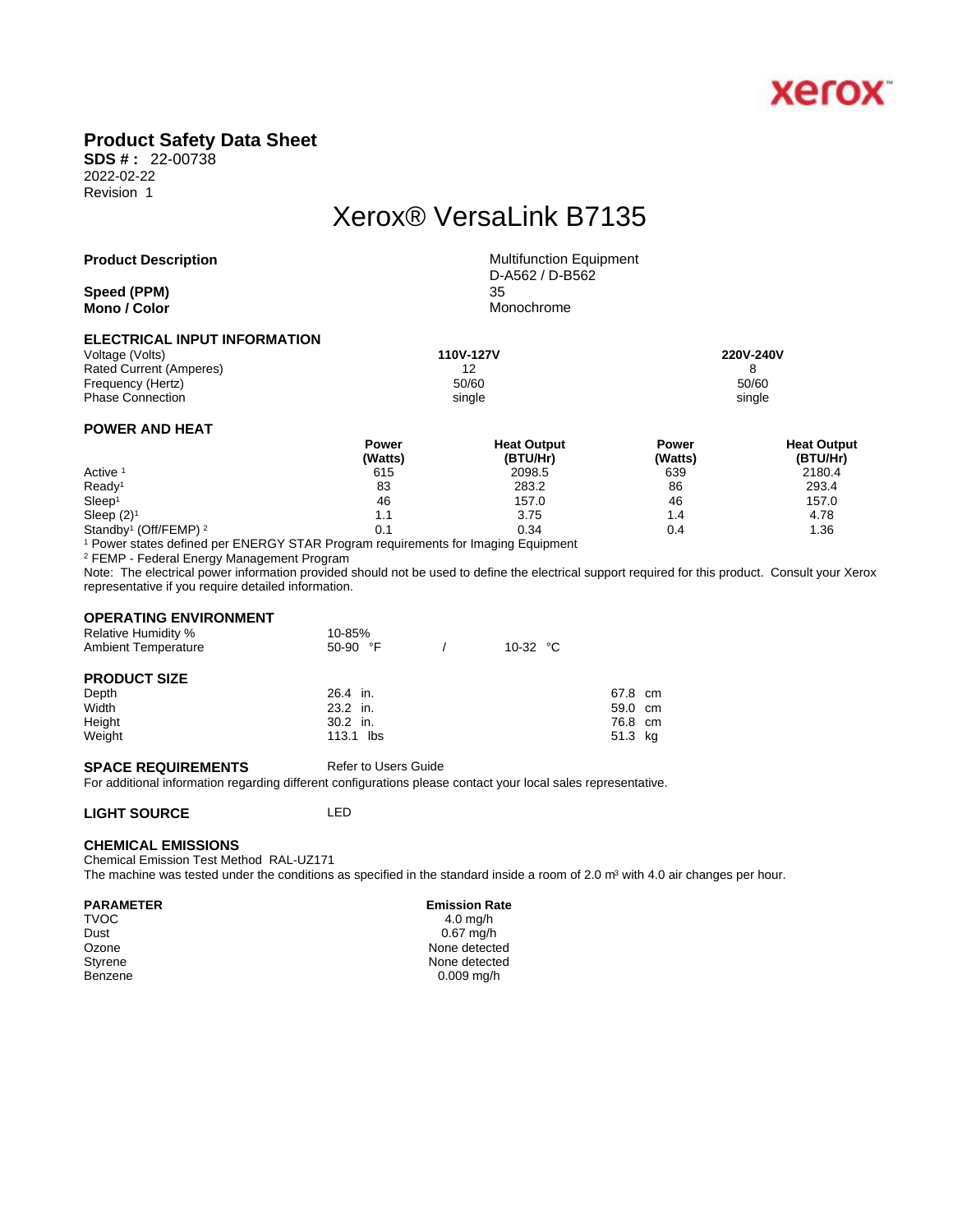

## **Product Safety Data Sheet**

**SDS # :** 22-00738 2022-02-22 Revision 1

# Xerox® VersaLink B7135

#### **Product Description** Multifunction Equipment

**Speed (PPM)** 35 **Mono / Color** Monochrome

D-A562 / D-B562

#### **ELECTRICAL INPUT INFORMATION**

Voltage (Volts) **110V-127V 220V-240V**  Rated Current (Amperes) 12 12<br>
Frequency (Hertz) 60/60<br>
50/60 Frequency (Hertz) Phase Connection single single single single single single single single single single

### **POWER AND HEAT**

|                                              | Power   | <b>Heat Output</b> | Power   | <b>Heat Output</b> |  |
|----------------------------------------------|---------|--------------------|---------|--------------------|--|
|                                              | (Watts) | (BTU/Hr)           | (Watts) | (BTU/Hr)           |  |
| Active <sup>1</sup>                          | 615     | 2098.5             | 639     | 2180.4             |  |
| Ready <sup>1</sup>                           | 83      | 283.2              | 86      | 293.4              |  |
| Sleep <sup>1</sup>                           | 46      | 157.0              | 46      | 157.0              |  |
| Sleep $(2)^1$                                | 1.1     | 3.75               | 4.،     | 4.78               |  |
| Standby <sup>1</sup> (Off/FEMP) <sup>2</sup> | 0.1     | 0.34               | 0.4     | 1.36               |  |

1 Power states defined per ENERGY STAR Program requirements for Imaging Equipment

2 FEMP - Federal Energy Management Program

Note: The electrical power information provided should not be used to define the electrical support required for this product. Consult your Xerox representative if you require detailed information.

#### **OPERATING ENVIRONMENT**

| <b>Relative Humidity %</b> | 10-85%     |            |         |  |
|----------------------------|------------|------------|---------|--|
| <b>Ambient Temperature</b> | $50-90$ °F | 10-32 $°C$ |         |  |
| <b>PRODUCT SIZE</b>        |            |            |         |  |
| Depth                      | $26.4$ in. |            | 67.8 cm |  |
| Width                      | $23.2$ in. |            | 59.0 cm |  |
| Height                     | $30.2$ in. |            | 76.8 cm |  |
| Weight                     | 113.1 lbs  |            | 51.3 kg |  |

#### **SPACE REQUIREMENTS** Refer to Users Guide

For additional information regarding different configurations please contact your local sales representative.

#### **LIGHT SOURCE** LED

#### **CHEMICAL EMISSIONS**

Chemical Emission Test Method RAL-UZ171 The machine was tested under the conditions as specified in the standard inside a room of 2.0 m<sup>3</sup> with 4.0 air changes per hour.

#### **PARAMETER** Emission Rate

 $\mathsf{TVOC}$  and  $\mathsf{TVOC}$  are the set of  $\mathsf{TV}$  and  $\mathsf{TV}$  and  $\mathsf{TV}$  are  $\mathsf{TV}$  and  $\mathsf{TV}$  and  $\mathsf{TV}$  are  $\mathsf{TV}$  and  $\mathsf{TV}$  are  $\mathsf{TV}$  and  $\mathsf{TV}$  are  $\mathsf{TV}$  and  $\mathsf{TV}$  are  $\mathsf{TV}$  and  $\mathsf{TV}$  are Dust 0.67 mg/h Ozone None detected<br>
Styrene None detected<br>
None detected None detected Benzene 0.009 mg/h